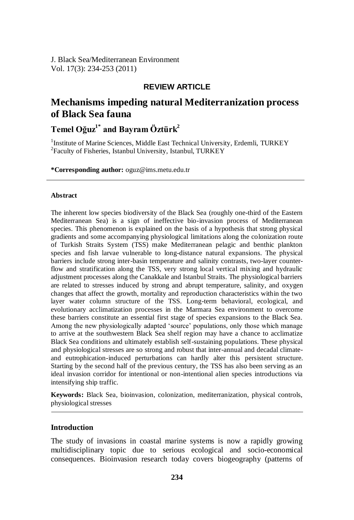## **REVIEW ARTICLE**

## **Mechanisms impeding natural Mediterranization process of Black Sea fauna**

## **Temel Oğuz1\* and Bayram Öztürk<sup>2</sup>**

<sup>1</sup>Institute of Marine Sciences, Middle East Technical University, Erdemli, TURKEY <sup>2</sup>Faculty of Fisheries, Istanbul University, Istanbul, TURKEY

**\*Corresponding author:** oguz@ims.metu.edu.tr

#### **Abstract**

The inherent low species biodiversity of the Black Sea (roughly one-third of the Eastern Mediterranean Sea) is a sign of ineffective bio-invasion process of Mediterranean species. This phenomenon is explained on the basis of a hypothesis that strong physical gradients and some accompanying physiological limitations along the colonization route of Turkish Straits System (TSS) make Mediterranean pelagic and benthic plankton species and fish larvae vulnerable to long-distance natural expansions. The physical barriers include strong inter-basin temperature and salinity contrasts, two-layer counterflow and stratification along the TSS, very strong local vertical mixing and hydraulic adjustment processes along the Canakkale and Istanbul Straits. The physiological barriers are related to stresses induced by strong and abrupt temperature, salinity, and oxygen changes that affect the growth, mortality and reproduction characteristics within the two layer water column structure of the TSS. Long-term behavioral, ecological, and evolutionary acclimatization processes in the Marmara Sea environment to overcome these barriers constitute an essential first stage of species expansions to the Black Sea. Among the new physiologically adapted "source" populations, only those which manage to arrive at the southwestern Black Sea shelf region may have a chance to acclimatize Black Sea conditions and ultimately establish self-sustaining populations. These physical and physiological stresses are so strong and robust that inter-annual and decadal climateand eutrophication-induced perturbations can hardly alter this persistent structure. Starting by the second half of the previous century, the TSS has also been serving as an ideal invasion corridor for intentional or non-intentional alien species introductions via intensifying ship traffic.

**Keywords:** Black Sea, bioinvasion, colonization, mediterranization, physical controls, physiological stresses

#### **Introduction**

The study of invasions in coastal marine systems is now a rapidly growing multidisciplinary topic due to serious ecological and socio-economical consequences. Bioinvasion research today covers biogeography (patterns of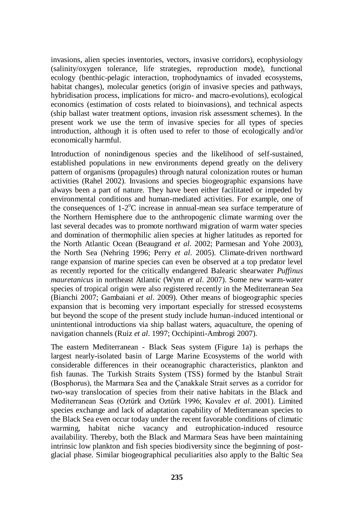invasions, alien species inventories, vectors, invasive corridors), ecophysiology (salinity/oxygen tolerance, life strategies, reproduction mode), functional ecology (benthic-pelagic interaction, trophodynamics of invaded ecosystems, habitat changes), molecular genetics (origin of invasive species and pathways, hybridisation process, implications for micro- and macro-evolutions), ecological economics (estimation of costs related to bioinvasions), and technical aspects (ship ballast water treatment options, invasion risk assessment schemes). In the present work we use the term of invasive species for all types of species introduction, although it is often used to refer to those of ecologically and/or economically harmful.

Introduction of nonindigenous species and the likelihood of self-sustained, established populations in new environments depend greatly on the delivery pattern of organisms (propagules) through natural colonization routes or human activities (Rahel 2002). Invasions and species biogeographic expansions have always been a part of nature. They have been either facilitated or impeded by environmental conditions and human-mediated activities. For example, one of the consequences of 1-2°C increase in annual-mean sea surface temperature of the Northern Hemisphere due to the anthropogenic climate warming over the last several decades was to promote northward migration of warm water species and domination of thermophilic alien species at higher latitudes as reported for the North Atlantic Ocean (Beaugrand *et al*. 2002; Parmesan and Yohe 2003), the North Sea (Nehring 1996; Perry *et al*. 2005). Climate-driven northward range expansion of marine species can even be observed at a top predator level as recently reported for the critically endangered Balearic shearwater *Puffinus mauretanicus* in northeast Atlantic (Wynn *et al*. 2007). Some new warm-water species of tropical origin were also registered recently in the Mediterranean Sea (Bianchi 2007; Gambaiani *et al*. 2009). Other means of biogeographic species expansion that is becoming very important especially for stressed ecosystems but beyond the scope of the present study include human-induced intentional or unintentional introductions via ship ballast waters, aquaculture, the opening of navigation channels (Ruiz *et al*. 1997; Occhipinti-Ambrogi 2007).

The eastern Mediterranean - Black Seas system (Figure 1a) is perhaps the largest nearly-isolated basin of Large Marine Ecosystems of the world with considerable differences in their oceanographic characteristics, plankton and fish faunas. The Turkish Straits System (TSS) formed by the Istanbul Strait (Bosphorus), the Marmara Sea and the Çanakkale Strait serves as a corridor for two-way translocation of species from their native habitats in the Black and Mediterranean Seas (Oztürk and Oztürk 1996; Kovalev *et al*. 2001). Limited species exchange and lack of adaptation capability of Mediterranean species to the Black Sea even occur today under the recent favorable conditions of climatic warming, habitat niche vacancy and eutrophication-induced resource availability. Thereby, both the Black and Marmara Seas have been maintaining intrinsic low plankton and fish species biodiversity since the beginning of postglacial phase. Similar biogeographical peculiarities also apply to the Baltic Sea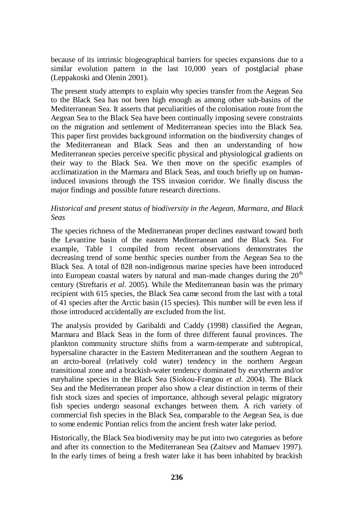because of its intrinsic biogeographical barriers for species expansions due to a similar evolution pattern in the last 10,000 years of postglacial phase (Leppakoski and Olenin 2001).

The present study attempts to explain why species transfer from the Aegean Sea to the Black Sea has not been high enough as among other sub-basins of the Mediterranean Sea. It asserts that peculiarities of the colonisation route from the Aegean Sea to the Black Sea have been continually imposing severe constraints on the migration and settlement of Mediterranean species into the Black Sea. This paper first provides background information on the biodiversity changes of the Mediterranean and Black Seas and then an understanding of how Mediterranean species perceive specific physical and physiological gradients on their way to the Black Sea. We then move on the specific examples of acclimatization in the Marmara and Black Seas, and touch briefly up on humaninduced invasions through the TSS invasion corridor. We finally discuss the major findings and possible future research directions.

## *Historical and present status of biodiversity in the Aegean, Marmara, and Black Seas*

The species richness of the Mediterranean proper declines eastward toward both the Levantine basin of the eastern Mediterranean and the Black Sea. For example, Table 1 compiled from recent observations demonstrates the decreasing trend of some benthic species number from the Aegean Sea to the Black Sea. A total of 828 non-indigenous marine species have been introduced into European coastal waters by natural and man-made changes during the  $20<sup>th</sup>$ century (Streftaris *et al*. 2005). While the Mediterranean basin was the primary recipient with 615 species, the Black Sea came second from the last with a total of 41 species after the Arctic basin (15 species). This number will be even less if those introduced accidentally are excluded from the list.

The analysis provided by Garibaldi and Caddy (1998) classified the Aegean, Marmara and Black Seas in the form of three different faunal provinces. The plankton community structure shifts from a warm-temperate and subtropical, hypersaline character in the Eastern Mediterranean and the southern Aegean to an arcto-boreal (relatively cold water) tendency in the northern Aegean transitional zone and a brackish-water tendency dominated by eurytherm and/or euryhaline species in the Black Sea (Siokou-Frangou *et al*. 2004). The Black Sea and the Mediterranean proper also show a clear distinction in terms of their fish stock sizes and species of importance, although several pelagic migratory fish species undergo seasonal exchanges between them. A rich variety of commercial fish species in the Black Sea, comparable to the Aegean Sea, is due to some endemic Pontian relics from the ancient fresh water lake period.

Historically, the Black Sea biodiversity may be put into two categories as before and after its connection to the Mediterranean Sea (Zaitsev and Mamaev 1997). In the early times of being a fresh water lake it has been inhabited by brackish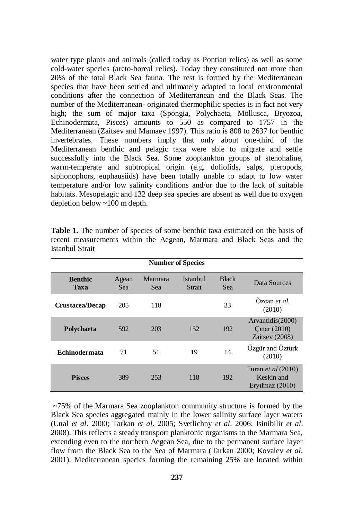water type plants and animals (called today as Pontian relics) as well as some cold-water species (arcto-boreal relics). Today they constituted not more than 20% of the total Black Sea fauna. The rest is formed by the Mediterranean species that have been settled and ultimately adapted to local environmental conditions after the connection of Mediterranean and the Black Seas. The number of the Mediterranean- originated thermophilic species is in fact not very high; the sum of major taxa (Spongia, Polychaeta, Mollusca, Bryozoa, Echinodermata, Pisces) amounts to 550 as compared to 1757 in the Mediterranean (Zaitsev and Mamaev 1997). This ratio is 808 to 2637 for benthic invertebrates. These numbers imply that only about one-third of the Mediterranean benthic and pelagic taxa were able to migrate and settle successfully into the Black Sea. Some zooplankton groups of stenohaline, warm-temperate and subtropical origin (e.g. doliolids, salps, pteropods, siphonophors, euphausiids) have been totally unable to adapt to low water temperature and/or low salinity conditions and/or due to the lack of suitable habitats. Mesopelagic and 132 deep sea species are absent as well due to oxygen depletion below ~100 m depth.

| <b>Number of Species</b> |              |                |                    |                     |                                                                |
|--------------------------|--------------|----------------|--------------------|---------------------|----------------------------------------------------------------|
| <b>Benthic</b><br>Taxa   | Agean<br>Sea | Marmara<br>Sea | Istanbul<br>Strait | <b>Black</b><br>Sea | Data Sources                                                   |
| <b>Crustacea/Decap</b>   | 205          | 118            |                    | 33                  | Özcan et al.<br>(2010)                                         |
| Polychaeta               | 592          | 203            | 152                | 192                 | Arvantidis(2000)<br>$C$ mar $(2010)$<br>Zaitsey (2008)         |
| <b>Echinodermata</b>     | 71           | 51             | 19                 | 14                  | Özgür and Öztürk<br>(2010)                                     |
| <b>Pisces</b>            | 389          | 253            | 118                | 192                 | Turan <i>et al</i> $(2010)$<br>Keskin and<br>Eryilmaz $(2010)$ |

Table 1. The number of species of some benthic taxa estimated on the basis of recent measurements within the Aegean, Marmara and Black Seas and the Istanbul Strait

~75% of the Marmara Sea zooplankton community structure is formed by the Black Sea species aggregated mainly in the lower salinity surface layer waters (Unal *et al*. 2000; Tarkan *et al*. 2005; Svetlichny *et al*. 2006; Isinibilir *et al*. 2008). This reflects a steady transport planktonic organisms to the Marmara Sea, extending even to the northern Aegean Sea, due to the permanent surface layer flow from the Black Sea to the Sea of Marmara (Tarkan 2000; Kovalev *et al*. 2001). Mediterranean species forming the remaining 25% are located within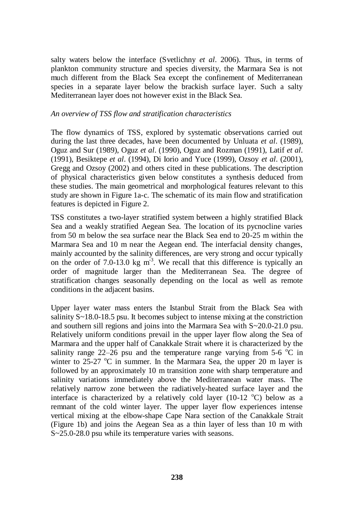salty waters below the interface (Svetlichny *et al*. 2006). Thus, in terms of plankton community structure and species diversity, the Marmara Sea is not much different from the Black Sea except the confinement of Mediterranean species in a separate layer below the brackish surface layer. Such a salty Mediterranean layer does not however exist in the Black Sea.

#### *An overview of TSS flow and stratification characteristics*

The flow dynamics of TSS, explored by systematic observations carried out during the last three decades, have been documented by Unluata *et al*. (1989), Oguz and Sur (1989), Oguz *et al*. (1990), Oguz and Rozman (1991), Latif *et al*. (1991), Besiktepe *et al*. (1994), Di Iorio and Yuce (1999), Ozsoy *et al*. (2001), Gregg and Ozsoy (2002) and others cited in these publications. The description of physical characteristics given below constitutes a synthesis deduced from these studies. The main geometrical and morphological features relevant to this study are shown in Figure 1a-c. The schematic of its main flow and stratification features is depicted in Figure 2.

TSS constitutes a two-layer stratified system between a highly stratified Black Sea and a weakly stratified Aegean Sea. The location of its pycnocline varies from 50 m below the sea surface near the Black Sea end to 20-25 m within the Marmara Sea and 10 m near the Aegean end. The interfacial density changes, mainly accounted by the salinity differences, are very strong and occur typically on the order of  $7.0$ -13.0 kg m<sup>3</sup>. We recall that this difference is typically an order of magnitude larger than the Mediterranean Sea. The degree of stratification changes seasonally depending on the local as well as remote conditions in the adjacent basins.

Upper layer water mass enters the Istanbul Strait from the Black Sea with salinity  $S \sim 18.0$ -18.5 psu. It becomes subject to intense mixing at the constriction and southern sill regions and joins into the Marmara Sea with S~20.0-21.0 psu. Relatively uniform conditions prevail in the upper layer flow along the Sea of Marmara and the upper half of Canakkale Strait where it is characterized by the salinity range 22–26 psu and the temperature range varying from 5-6  $^{\circ}$ C in winter to 25-27  $\rm{^{\circ}C}$  in summer. In the Marmara Sea, the upper 20 m layer is followed by an approximately 10 m transition zone with sharp temperature and salinity variations immediately above the Mediterranean water mass. The relatively narrow zone between the radiatively-heated surface layer and the interface is characterized by a relatively cold layer (10-12  $^{\circ}$ C) below as a remnant of the cold winter layer. The upper layer flow experiences intense vertical mixing at the elbow-shape Cape Nara section of the Canakkale Strait (Figure 1b) and joins the Aegean Sea as a thin layer of less than 10 m with S~25.0-28.0 psu while its temperature varies with seasons.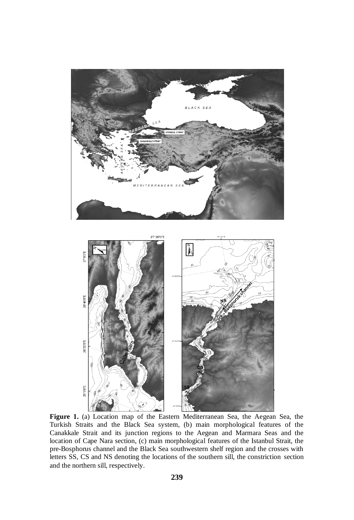

**Figure 1.** (a) Location map of the Eastern Mediterranean Sea, the Aegean Sea, the Turkish Straits and the Black Sea system, (b) main morphological features of the Canakkale Strait and its junction regions to the Aegean and Marmara Seas and the location of Cape Nara section, (c) main morphological features of the Istanbul Strait, the pre-Bosphorus channel and the Black Sea southwestern shelf region and the crosses with letters SS, CS and NS denoting the locations of the southern sill, the constriction section and the northern sill, respectively.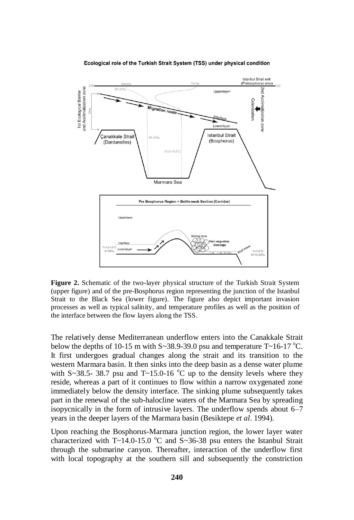Ecological role of the Turkish Strait System (TSS) under physical condition



**Figure 2.** Schematic of the two-layer physical structure of the Turkish Strait System (upper figure) and of the pre-Bosphorus region representing the junction of the Istanbul Strait to the Black Sea (lower figure). The figure also depict important invasion processes as well as typical salinity, and temperature profiles as well as the position of the interface between the flow layers along the TSS.

The relatively dense Mediterranean underflow enters into the Canakkale Strait below the depths of 10-15 m with  $S \sim 38.9 - 39.0$  psu and temperature T $\sim 16 - 17$  °C. It first undergoes gradual changes along the strait and its transition to the western Marmara basin. It then sinks into the deep basin as a dense water plume with S~38.5- 38.7 psu and  $T \sim 15.0{\text -}16$  °C up to the density levels where they reside, whereas a part of it continues to flow within a narrow oxygenated zone immediately below the density interface. The sinking plume subsequently takes part in the renewal of the sub-halocline waters of the Marmara Sea by spreading isopycnically in the form of intrusive layers. The underflow spends about 6–7 years in the deeper layers of the Marmara basin (Besiktepe *et al*. 1994).

Upon reaching the Bosphorus-Marmara junction region, the lower layer water characterized with  $T \sim 14.0$ -15.0 °C and  $S \sim 36-38$  psu enters the Istanbul Strait through the submarine canyon. Thereafter, interaction of the underflow first with local topography at the southern sill and subsequently the constriction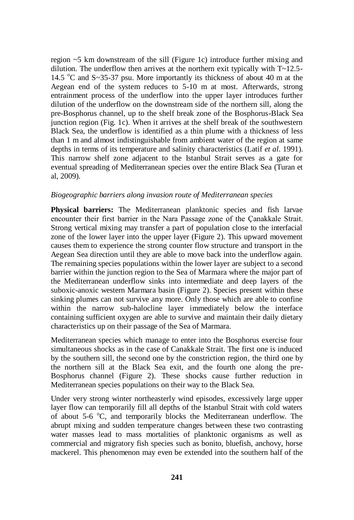region ~5 km downstream of the sill (Figure 1c) introduce further mixing and dilution. The underflow then arrives at the northern exit typically with  $T \sim 12.5$ -14.5  $\degree$ C and S~35-37 psu. More importantly its thickness of about 40 m at the Aegean end of the system reduces to 5-10 m at most. Afterwards, strong entrainment process of the underflow into the upper layer introduces further dilution of the underflow on the downstream side of the northern sill, along the pre-Bosphorus channel, up to the shelf break zone of the Bosphorus-Black Sea junction region (Fig. 1c). When it arrives at the shelf break of the southwestern Black Sea, the underflow is identified as a thin plume with a thickness of less than 1 m and almost indistinguishable from ambient water of the region at same depths in terms of its temperature and salinity characteristics (Latif *et al*. 1991). This narrow shelf zone adjacent to the Istanbul Strait serves as a gate for eventual spreading of Mediterranean species over the entire Black Sea (Turan et al, 2009).

#### *Biogeographic barriers along invasion route of Mediterranean species*

**Physical barriers:** The Mediterranean planktonic species and fish larvae encounter their first barrier in the Nara Passage zone of the Çanakkale Strait. Strong vertical mixing may transfer a part of population close to the interfacial zone of the lower layer into the upper layer (Figure 2). This upward movement causes them to experience the strong counter flow structure and transport in the Aegean Sea direction until they are able to move back into the underflow again. The remaining species populations within the lower layer are subject to a second barrier within the junction region to the Sea of Marmara where the major part of the Mediterranean underflow sinks into intermediate and deep layers of the suboxic-anoxic western Marmara basin (Figure 2). Species present within these sinking plumes can not survive any more. Only those which are able to confine within the narrow sub-halocline layer immediately below the interface containing sufficient oxygen are able to survive and maintain their daily dietary characteristics up on their passage of the Sea of Marmara.

Mediterranean species which manage to enter into the Bosphorus exercise four simultaneous shocks as in the case of Canakkale Strait. The first one is induced by the southern sill, the second one by the constriction region, the third one by the northern sill at the Black Sea exit, and the fourth one along the pre-Bosphorus channel (Figure 2). These shocks cause further reduction in Mediterranean species populations on their way to the Black Sea.

Under very strong winter northeasterly wind episodes, excessively large upper layer flow can temporarily fill all depths of the Istanbul Strait with cold waters of about  $5-6$  °C, and temporarily blocks the Mediterranean underflow. The abrupt mixing and sudden temperature changes between these two contrasting water masses lead to mass mortalities of planktonic organisms as well as commercial and migratory fish species such as bonito, bluefish, anchovy, horse mackerel. This phenomenon may even be extended into the southern half of the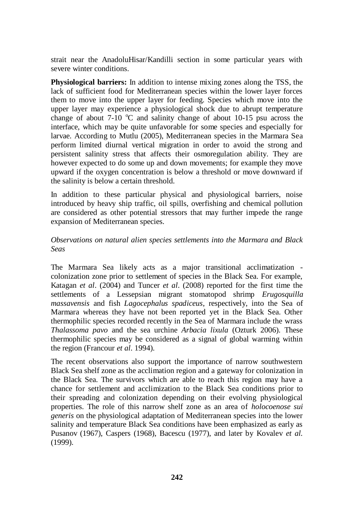strait near the AnadoluHisar/Kandilli section in some particular years with severe winter conditions.

**Physiological barriers:** In addition to intense mixing zones along the TSS, the lack of sufficient food for Mediterranean species within the lower layer forces them to move into the upper layer for feeding. Species which move into the upper layer may experience a physiological shock due to abrupt temperature change of about  $7-10$  °C and salinity change of about 10-15 psu across the interface, which may be quite unfavorable for some species and especially for larvae. According to Mutlu (2005), Mediterranean species in the Marmara Sea perform limited diurnal vertical migration in order to avoid the strong and persistent salinity stress that affects their osmoregulation ability. They are however expected to do some up and down movements; for example they move upward if the oxygen concentration is below a threshold or move downward if the salinity is below a certain threshold.

In addition to these particular physical and physiological barriers, noise introduced by heavy ship traffic, oil spills, overfishing and chemical pollution are considered as other potential stressors that may further impede the range expansion of Mediterranean species.

## *Observations on natural alien species settlements into the Marmara and Black Seas*

The Marmara Sea likely acts as a major transitional acclimatization colonization zone prior to settlement of species in the Black Sea. For example, Katagan *et al*. (2004) and Tuncer *et al*. (2008) reported for the first time the settlements of a Lessepsian migrant stomatopod shrimp *Erugosquilla massavensis* and fish *Lagocephalus spadiceus*, respectively, into the Sea of Marmara whereas they have not been reported yet in the Black Sea. Other thermophilic species recorded recently in the Sea of Marmara include the wrass *Thalassoma pavo* and the sea urchine *Arbacia lixula* (Ozturk 2006). These thermophilic species may be considered as a signal of global warming within the region (Francour *et al*. 1994).

The recent observations also support the importance of narrow southwestern Black Sea shelf zone as the acclimation region and a gateway for colonization in the Black Sea. The survivors which are able to reach this region may have a chance for settlement and acclimization to the Black Sea conditions prior to their spreading and colonization depending on their evolving physiological properties. The role of this narrow shelf zone as an area of *holocoenose sui generis* on the physiological adaptation of Mediterranean species into the lower salinity and temperature Black Sea conditions have been emphasized as early as Pusanov (1967), Caspers (1968), Bacescu (1977), and later by Kovalev *et al.* (1999).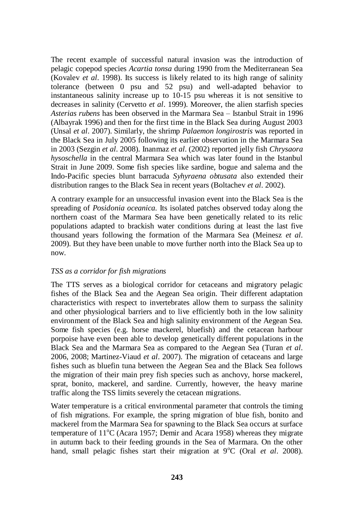The recent example of successful natural invasion was the introduction of pelagic copepod species *Acartia tonsa* during 1990 from the Mediterranean Sea (Kovalev *et al*. 1998). Its success is likely related to its high range of salinity tolerance (between 0 psu and 52 psu) and well-adapted behavior to instantaneous salinity increase up to 10-15 psu whereas it is not sensitive to decreases in salinity (Cervetto *et al*. 1999). Moreover, the alien starfish species *Asterias rubens* has been observed in the Marmara Sea – Istanbul Strait in 1996 (Albayrak 1996) and then for the first time in the Black Sea during August 2003 (Unsal *et al*. 2007). Similarly, the shrimp *Palaemon longirostris* was reported in the Black Sea in July 2005 following its earlier observation in the Marmara Sea in 2003 (Sezgin *et al*. 2008). Inanmaz *et al*. (2002) reported jelly fish *Chrysaora hysoschella* in the central Marmara Sea which was later found in the Istanbul Strait in June 2009. Some fish species like sardine, bogue and salema and the Indo-Pacific species blunt barracuda *Syhyraena obtusata* also extended their distribution ranges to the Black Sea in recent years (Boltachev *et al*. 2002).

A contrary example for an unsuccessful invasion event into the Black Sea is the spreading of *Posidonia oceanica.* Its isolated patches observed today along the northern coast of the Marmara Sea have been genetically related to its relic populations adapted to brackish water conditions during at least the last five thousand years following the formation of the Marmara Sea (Meinesz *et al*. 2009). But they have been unable to move further north into the Black Sea up to now.

## *TSS as a corridor for fish migrations*

The TTS serves as a biological corridor for cetaceans and migratory pelagic fishes of the Black Sea and the Aegean Sea origin. Their different adaptation characteristics with respect to invertebrates allow them to surpass the salinity and other physiological barriers and to live efficiently both in the low salinity environment of the Black Sea and high salinity environment of the Aegean Sea. Some fish species (e.g. horse mackerel, bluefish) and the cetacean harbour porpoise have even been able to develop genetically different populations in the Black Sea and the Marmara Sea as compared to the Aegean Sea (Turan *et al*. 2006, 2008; Martinez-Viaud *et al*. 2007). The migration of cetaceans and large fishes such as bluefin tuna between the Aegean Sea and the Black Sea follows the migration of their main prey fish species such as anchovy, horse mackerel, sprat, bonito, mackerel, and sardine. Currently, however, the heavy marine traffic along the TSS limits severely the cetacean migrations.

Water temperature is a critical environmental parameter that controls the timing of fish migrations. For example, the spring migration of blue fish, bonito and mackerel from the Marmara Sea for spawning to the Black Sea occurs at surface temperature of  $11^{\circ}$ C (Acara 1957; Demir and Acara 1958) whereas they migrate in autumn back to their feeding grounds in the Sea of Marmara. On the other hand, small pelagic fishes start their migration at 9°C (Oral *et al.* 2008).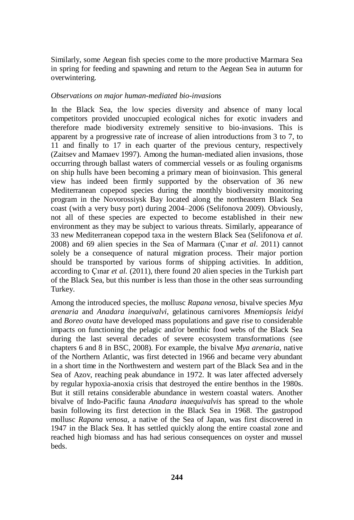Similarly, some Aegean fish species come to the more productive Marmara Sea in spring for feeding and spawning and return to the Aegean Sea in autumn for overwintering.

#### *Observations on major human-mediated bio-invasions*

In the Black Sea, the low species diversity and absence of many local competitors provided unoccupied ecological niches for exotic invaders and therefore made biodiversity extremely sensitive to bio-invasions. This is apparent by a progressive rate of increase of alien introductions from 3 to 7, to 11 and finally to 17 in each quarter of the previous century, respectively (Zaitsev and Mamaev 1997). Among the human-mediated alien invasions, those occurring through ballast waters of commercial vessels or as fouling organisms on ship hulls have been becoming a primary mean of bioinvasion. This general view has indeed been firmly supported by the observation of 36 new Mediterranean copepod species during the monthly biodiversity monitoring program in the Novorossiysk Bay located along the northeastern Black Sea coast (with a very busy port) during 2004–2006 (Selifonova 2009). Obviously, not all of these species are expected to become established in their new environment as they may be subject to various threats. Similarly, appearance of 33 new Mediterranean copepod taxa in the western Black Sea (Selifonova *et al.* 2008) and 69 alien species in the Sea of Marmara (Çınar *et al*. 2011) cannot solely be a consequence of natural migration process. Their major portion should be transported by various forms of shipping activities. In addition, according to Çınar *et al.* (2011), there found 20 alien species in the Turkish part of the Black Sea, but this number is less than those in the other seas surrounding Turkey.

Among the introduced species, the mollusc *Rapana venosa*, bivalve species *Mya arenaria* and *Anadara inaequivalvi*, gelatinous carnivores *Mnemiopsis leidyi* and *Boreo ovata* have developed mass populations and gave rise to considerable impacts on functioning the pelagic and/or benthic food webs of the Black Sea during the last several decades of severe ecosystem transformations (see chapters 6 and 8 in BSC, 2008). For example, the bivalve *Mya arenaria*, native of the Northern Atlantic, was first detected in 1966 and became very abundant in a short time in the Northwestern and western part of the Black Sea and in the Sea of Azov, reaching peak abundance in 1972. It was later affected adversely by regular hypoxia-anoxia crisis that destroyed the entire benthos in the 1980s. But it still retains considerable abundance in western coastal waters. Another bivalve of Indo-Pacific fauna *Anadara inaequivalvis* has spread to the whole basin following its first detection in the Black Sea in 1968. The gastropod mollusc *Rapana venosa*, a native of the Sea of Japan, was first discovered in 1947 in the Black Sea. It has settled quickly along the entire coastal zone and reached high biomass and has had serious consequences on oyster and mussel beds.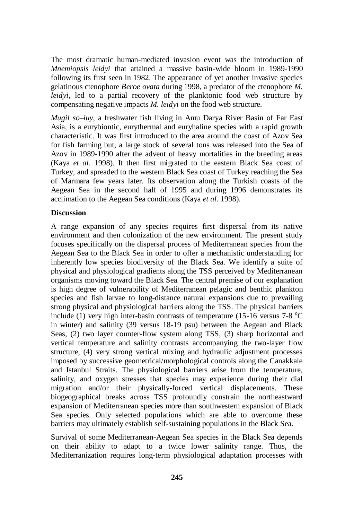The most dramatic human-mediated invasion event was the introduction of *Mnemiopsis leidyi* that attained a massive basin-wide bloom in 1989-1990 following its first seen in 1982. The appearance of yet another invasive species gelatinous ctenophore *Beroe ovata* during 1998, a predator of the ctenophore *M. leidyi*, led to a partial recovery of the planktonic food web structure by compensating negative impacts *M. leidyi* on the food web structure.

*Mugil so–iuy*, a freshwater fish living in Amu Darya River Basin of Far East Asia, is a eurybiontic, eurythermal and euryhaline species with a rapid growth characteristic. It was first introduced to the area around the coast of Azov Sea for fish farming but, a large stock of several tons was released into the Sea of Azov in 1989-1990 after the advent of heavy mortalities in the breeding areas (Kaya *et al*. 1998). It then first migrated to the eastern Black Sea coast of Turkey, and spreaded to the western Black Sea coast of Turkey reaching the Sea of Marmara few years later. Its observation along the Turkish coasts of the Aegean Sea in the second half of 1995 and during 1996 demonstrates its acclimation to the Aegean Sea conditions (Kaya *et al*. 1998).

### **Discussion**

A range expansion of any species requires first dispersal from its native environment and then colonization of the new environment. The present study focuses specifically on the dispersal process of Mediterranean species from the Aegean Sea to the Black Sea in order to offer a mechanistic understanding for inherently low species biodiversity of the Black Sea. We identify a suite of physical and physiological gradients along the TSS perceived by Mediterranean organisms moving toward the Black Sea. The central premise of our explanation is high degree of vulnerability of Mediterranean pelagic and benthic plankton species and fish larvae to long-distance natural expansions due to prevailing strong physical and physiological barriers along the TSS. The physical barriers include (1) very high inter-basin contrasts of temperature (15-16 versus 7-8  $^{\circ}$ C) in winter) and salinity (39 versus 18-19 psu) between the Aegean and Black Seas, (2) two layer counter-flow system along TSS, (3) sharp horizontal and vertical temperature and salinity contrasts accompanying the two-layer flow structure, (4) very strong vertical mixing and hydraulic adjustment processes imposed by successive geometrical/morphological controls along the Canakkale and Istanbul Straits. The physiological barriers arise from the temperature, salinity, and oxygen stresses that species may experience during their dial migration and/or their physically-forced vertical displacements. These biogeographical breaks across TSS profoundly constrain the northeastward expansion of Mediterranean species more than southwestern expansion of Black Sea species. Only selected populations which are able to overcome these barriers may ultimately establish self-sustaining populations in the Black Sea.

Survival of some Mediterranean-Aegean Sea species in the Black Sea depends on their ability to adapt to a twice lower salinity range. Thus, the Mediterranization requires long-term physiological adaptation processes with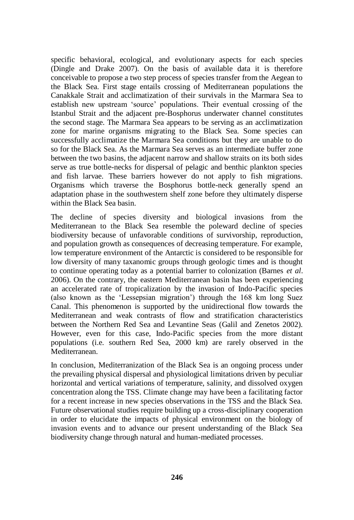specific behavioral, ecological, and evolutionary aspects for each species (Dingle and Drake 2007). On the basis of available data it is therefore conceivable to propose a two step process of species transfer from the Aegean to the Black Sea. First stage entails crossing of Mediterranean populations the Canakkale Strait and acclimatization of their survivals in the Marmara Sea to establish new upstream "source" populations. Their eventual crossing of the Istanbul Strait and the adjacent pre-Bosphorus underwater channel constitutes the second stage. The Marmara Sea appears to be serving as an acclimatization zone for marine organisms migrating to the Black Sea. Some species can successfully acclimatize the Marmara Sea conditions but they are unable to do so for the Black Sea. As the Marmara Sea serves as an intermediate buffer zone between the two basins, the adjacent narrow and shallow straits on its both sides serve as true bottle-necks for dispersal of pelagic and benthic plankton species and fish larvae. These barriers however do not apply to fish migrations. Organisms which traverse the Bosphorus bottle-neck generally spend an adaptation phase in the southwestern shelf zone before they ultimately disperse within the Black Sea basin.

The decline of species diversity and biological invasions from the Mediterranean to the Black Sea resemble the poleward decline of species biodiversity because of unfavorable conditions of survivorship, reproduction, and population growth as consequences of decreasing temperature. For example, low temperature environment of the Antarctic is considered to be responsible for low diversity of many taxanomic groups through geologic times and is thought to continue operating today as a potential barrier to colonization (Barnes *et al*. 2006). On the contrary, the eastern Mediterranean basin has been experiencing an accelerated rate of tropicalization by the invasion of Indo-Pacific species (also known as the "Lessepsian migration") through the 168 km long Suez Canal. This phenomenon is supported by the unidirectional flow towards the Mediterranean and weak contrasts of flow and stratification characteristics between the Northern Red Sea and Levantine Seas (Galil and Zenetos 2002). However, even for this case, Indo-Pacific species from the more distant populations (i.e. southern Red Sea, 2000 km) are rarely observed in the Mediterranean.

In conclusion, Mediterranization of the Black Sea is an ongoing process under the prevailing physical dispersal and physiological limitations driven by peculiar horizontal and vertical variations of temperature, salinity, and dissolved oxygen concentration along the TSS. Climate change may have been a facilitating factor for a recent increase in new species observations in the TSS and the Black Sea. Future observational studies require building up a cross-disciplinary cooperation in order to elucidate the impacts of physical environment on the biology of invasion events and to advance our present understanding of the Black Sea biodiversity change through natural and human-mediated processes.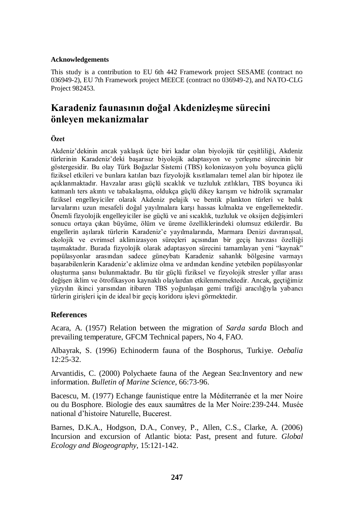#### **Acknowledgements**

This study is a contribution to EU 6th 442 Framework project SESAME (contract no 036949-2), EU 7th Framework project MEECE (contract no 036949-2), and NATO-CLG Project 982453.

# **Karadeniz faunasının doğal Akdenizleşme sürecini önleyen mekanizmalar**

#### **Özet**

Akdeniz"dekinin ancak yaklaşık üçte biri kadar olan biyolojik tür çeşitliliği, Akdeniz türlerinin Karadeniz"deki başarısız biyolojik adaptasyon ve yerleşme sürecinin bir göstergesidir. Bu olay Türk Boğazlar Sistemi (TBS) kolonizasyon yolu boyunca güçlü fiziksel etkileri ve bunlara katılan bazı fizyolojik kısıtlamaları temel alan bir hipotez ile açıklanmaktadır. Havzalar arası güçlü sıcaklık ve tuzluluk zıtlıkları, TBS boyunca iki katmanlı ters akıntı ve tabakalaşma, oldukça güçlü dikey karışım ve hidrolik sıçramalar fiziksel engelleyiciler olarak Akdeniz pelajik ve bentik plankton türleri ve balık larvalarını uzun mesafeli doğal yayılmalara karşı hassas kılmakta ve engellemektedir. Önemli fizyolojik engelleyiciler ise güçlü ve ani sıcaklık, tuzluluk ve oksijen değişimleri sonucu ortaya çıkan büyüme, ölüm ve üreme özelliklerindeki olumsuz etkilerdir. Bu engellerin aşılarak türlerin Karadeniz"e yayılmalarında, Marmara Denizi davranışsal, ekolojik ve evrimsel aklimizasyon süreçleri açısından bir geçiş havzası özelliği taşımaktadır. Burada fizyolojik olarak adaptasyon sürecini tamamlayan yeni "kaynak" popülasyonlar arasından sadece güneybatı Karadeniz sahanlık bölgesine varmayı başarabilenlerin Karadeniz"e aklimize olma ve ardından kendine yetebilen popülasyonlar oluşturma şansı bulunmaktadır. Bu tür güçlü fiziksel ve fizyolojik stresler yıllar arası değişen iklim ve ötrofikasyon kaynaklı olaylardan etkilenmemektedir. Ancak, geçtiğimiz yüzyılın ikinci yarısından itibaren TBS yoğunlaşan gemi trafiği aracılığıyla yabancı türlerin girişleri için de ideal bir geçiş koridoru işlevi görmektedir.

## **References**

Acara, A. (1957) Relation between the migration of *Sarda sarda* Bloch and prevailing temperature, GFCM Technical papers, No 4, FAO.

Albayrak, S. (1996) Echinoderm fauna of the Bosphorus, Turkiye. *Oebalia* 12:25-32.

Arvantidis, C. (2000) Polychaete fauna of the Aegean Sea:Inventory and new information. *Bulletin of Marine Science*, 66:73-96.

Bacescu, M. (1977) Echange faunistique entre la Méditerranée et la mer Noire ou du Bosphore. Biologie des eaux saumâtres de la Mer Noire:239-244. Musée national d"histoire Naturelle, Bucerest.

Barnes, D.K.A., Hodgson, D.A., Convey, P., Allen, C.S., Clarke, A. (2006) Incursion and excursion of Atlantic biota: Past, present and future. *Global Ecology and Biogeography*, 15:121-142.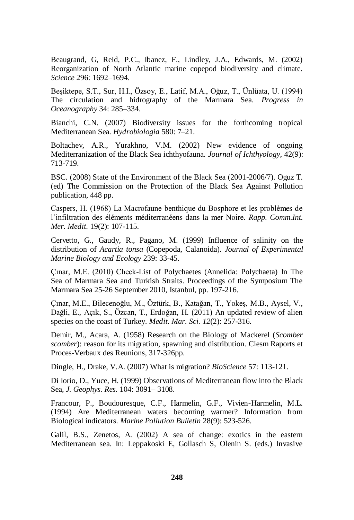Beaugrand, G, Reid, P.C., Ibanez, F., Lindley, J.A., Edwards, M. (2002) Reorganization of North Atlantic marine copepod biodiversity and climate. *Science* 296: 1692–1694.

Beşiktepe, S.T., Sur, H.I., Özsoy, E., Latif, M.A., Oğuz, T., Ünlüata, U. (1994) The circulation and hidrography of the Marmara Sea. *Progress in Oceanography* 34: 285–334.

Bianchi, C.N. (2007) Biodiversity issues for the forthcoming tropical Mediterranean Sea. *Hydrobiologia* 580: 7–21.

Boltachev, A.R., Yurakhno, V.M. (2002) New evidence of ongoing Mediterranization of the Black Sea ichthyofauna. *Journal of Ichthyology*, 42(9): 713-719.

BSC. (2008) State of the Environment of the Black Sea (2001-2006/7). Oguz T. (ed) The Commission on the Protection of the Black Sea Against Pollution publication, 448 pp.

Caspers, H. (1968) La Macrofaune benthique du Bosphore et les problèmes de l"infiltration des éléments méditerranéens dans la mer Noire. *Rapp. Comm.Int. Mer. Medit.* 19(2): 107-115.

Cervetto, G., Gaudy, R., Pagano, M. (1999) Influence of salinity on the distribution of *Acartia tonsa* (Copepoda, Calanoida). *Journal of Experimental Marine Biology and Ecology* 239: 33-45.

Çınar, M.E. (2010) Check-List of Polychaetes (Annelida: Polychaeta) In The Sea of Marmara Sea and Turkish Straits. Proceedings of the Symposium The Marmara Sea 25-26 September 2010, Istanbul, pp. 197-216.

Çınar, M.E., Bilecenoğlu, M., Öztürk, B., Katağan, T., Yokeş, M.B., Aysel, V., Dağli, E., Açık, S., Özcan, T., Erdoğan, H. (2011) An updated review of alien species on the coast of Turkey. *Medit. Mar. Sci. 12*(2): 257-316.

Demir, M., Acara, A. (1958) Research on the Biology of Mackerel (*Scomber scomber*): reason for its migration, spawning and distribution. Ciesm Raports et Proces-Verbaux des Reunions, 317-326pp.

Dingle, H., Drake, V.A. (2007) What is migration? *BioScience* 57: 113-121.

Di Iorio, D., Yuce, H. (1999) Observations of Mediterranean flow into the Black Sea, *J. Geophys. Res.* 104: 3091– 3108.

Francour, P., Boudouresque, C.F., Harmelin, G.F., Vivien-Harmelin, M.L. (1994) Are Mediterranean waters becoming warmer? Information from Biological indicators. *Marine Pollution Bulletin* 28(9): 523-526.

Galil, B.S., Zenetos, A. (2002) A sea of change: exotics in the eastern Mediterranean sea. In: Leppakoski E, Gollasch S, Olenin S. (eds.) Invasive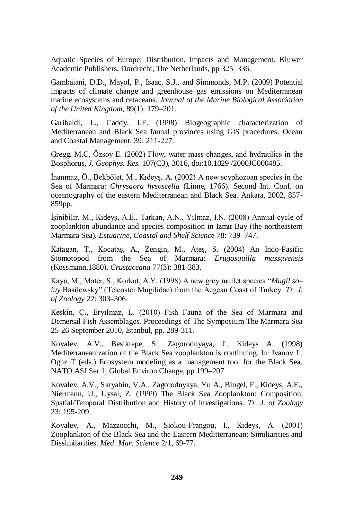Aquatic Species of Europe: Distribution, Impacts and Management. Kluwer Academic Publishers, Dordrecht, The Netherlands, pp 325–336.

Gambaiani, D.D., Mayol, P., Isaac, S.J., and Simmonds, M.P. (2009) Potential impacts of climate change and greenhouse gas emissions on Mediterranean marine ecosystems and cetaceans. *Journal of the Marine Biological Association of the United Kingdom*, 89(1): 179–201.

Garibaldi, L., Caddy, J.F. (1998) Biogeographic characterization of Mediterranean and Black Sea faunal provinces using GIS procedures. Ocean and Coastal Management, 39: 211-227.

Gregg, M.C, Özsoy E. (2002) Flow, water mass changes, and hydraulics in the Bosphorus, *J. Geophys. Res.* 107(C3), 3016, doi:10.1029 /2000JC000485.

İnanmaz, Ö., Bekbölet, M., Kıdeyş, A. (2002) A new scyphozoan species in the Sea of Marmara: *Chrysaora hysoscella* (Linne, 1766). Second Int. Conf. on oceanography of the eastern Mediterranean and Black Sea. Ankara, 2002, 857- 859pp.

İşinibilir, M., Kideyş, A.E., Tarkan, A.N., Yılmaz, I.N. (2008) Annual cycle of zooplankton abundance and species composition in Izmit Bay (the northeastern Marmara Sea). *Estuarine, Coastal and Shelf Science* 78: 739–747.

Katagan, T., Kocataş, A., Zengin, M., Ateş, S. (2004) An Indo-Pasific Stomotopod from the Sea of Marmara: *Erugosquilla massavensis* (Kossmann,1880). *Crustaceana* 77(3): 381-383.

Kaya, M., Mater, S., Korkut, A.Y. (1998) A new grey mullet species "*Mugil so– iuy* Basilewsky" (Teleostei Mugilidae) from the Aegean Coast of Turkey. *Tr. J. of Zoology* 22: 303–306.

Keskin, Ç., Eryılmaz, L. (2010) Fish Fauna of the Sea of Marmara and Demersal Fish Assemblages. Proceedings of The Symposium The Marmara Sea 25-26 September 2010, Istanbul, pp. 289-311.

Kovalev, A.V., Besiktepe, S., Zagorodnyaya, J., Kideys A. (1998) Mediterraneanization of the Black Sea zooplankton is continuing. In: Ivanov L, Oguz T (eds.) Ecosystem modeling as a management tool for the Black Sea. NATO ASI Ser 1, Global Environ Change, pp 199–207.

Kovalev, A.V., Skryabin, V.A., Zagorodnyaya, Yu A., Bingel, F., Kideys, A.E., Niermann, U., Uysal, Z. (1999) The Black Sea Zooplankton: Composition, Spatial/Temporal Distribution and History of Investigations. *Tr. J. of Zoology* 23: 195-209.

Kovalev, A., Mazzocchi, M., Siokou-Frangou, I., Kıdeys, A. (2001) Zooplankton of the Black Sea and the Eastern Meditterranean: Similiarities and Dissimilarities. *Med. Mar. Science* 2/1, 69-77.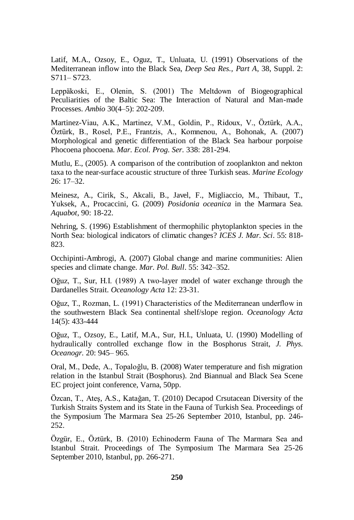Latif, M.A., Ozsoy, E., Oguz, T., Unluata, U. (1991) Observations of the Mediterranean inflow into the Black Sea, *Deep Sea Res., Part A*, 38, Suppl. 2: S711– S723.

Leppäkoski, E., Olenin, S. (2001) The Meltdown of Biogeographical Peculiarities of the Baltic Sea: The Interaction of Natural and Man-made Processes. *Ambio* 30(4–5): 202-209.

Martinez-Viau, A.K., Martinez, V.M., Goldin, P., Ridoux, V., Öztürk, A.A., Öztürk, B., Rosel, P.E., Frantzis, A., Komnenou, A., Bohonak, A. (2007) Morphological and genetic differentiation of the Black Sea harbour porpoise Phocoena phocoena. *Mar. Ecol. Prog. Ser.* 338: 281-294.

Mutlu, E., (2005). A comparison of the contribution of zooplankton and nekton taxa to the near-surface acoustic structure of three Turkish seas. *Marine Ecology* 26: 17–32.

Meinesz, A., Cirik, S., Akcali, B., Javel, F., Migliaccio, M., Thibaut, T., Yuksek, A., Procaccini, G. (2009) *Posidonia oceanica* in the Marmara Sea. *Aquabot*, 90: 18-22.

Nehring, S. (1996) Establishment of thermophilic phytoplankton species in the North Sea: biological indicators of climatic changes? *ICES J. Mar. Sci*. 55: 818- 823.

Occhipinti-Ambrogi, A. (2007) Global change and marine communities: Alien species and climate change. *Mar. Pol. Bull*. 55: 342–352.

Oğuz, T., Sur, H.I. (1989) A two-layer model of water exchange through the Dardanelles Strait. *Oceanology Acta* 12: 23-31.

Oğuz, T., Rozman, L. (1991) Characteristics of the Mediterranean underflow in the southwestern Black Sea continental shelf/slope region. *Oceanology Acta* 14(5): 433-444

Oğuz, T., Ozsoy, E., Latif, M.A., Sur, H.I., Unluata, U. (1990) Modelling of hydraulically controlled exchange flow in the Bosphorus Strait, *J. Phys. Oceanogr.* 20: 945– 965.

Oral, M., Dede, A., Topaloğlu, B. (2008) Water temperature and fish migration relation in the Istanbul Strait (Bosphorus). 2nd Biannual and Black Sea Scene EC project joint conference, Varna, 50pp.

Özcan, T., Ateş, A.S., Katağan, T. (2010) Decapod Crsutacean Diversity of the Turkish Straits System and its State in the Fauna of Turkish Sea. Proceedings of the Symposium The Marmara Sea 25-26 September 2010, Istanbul, pp. 246- 252.

Özgür, E., Öztürk, B. (2010) Echinoderm Fauna of The Marmara Sea and Istanbul Strait. Proceedings of The Symposium The Marmara Sea 25-26 September 2010, Istanbul, pp. 266-271.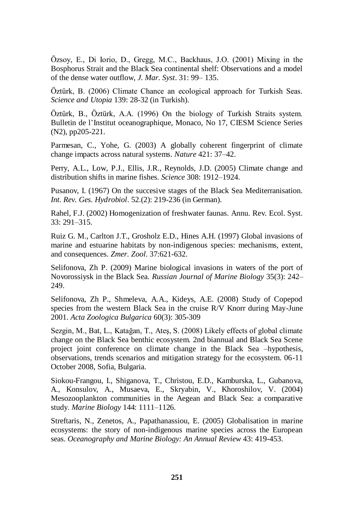Özsoy, E., Di Iorio, D., Gregg, M.C., Backhaus, J.O. (2001) Mixing in the Bosphorus Strait and the Black Sea continental shelf: Observations and a model of the dense water outflow, *J. Mar. Syst*. 31: 99– 135.

Öztürk, B. (2006) Climate Chance an ecological approach for Turkish Seas. *Science and Utopia* 139: 28-32 (in Turkish).

Öztürk, B., Öztürk, A.A. (1996) On the biology of Turkish Straits system. Bulletin de l"Institut oceanographique, Monaco, No 17, CIESM Science Series (N2), pp205-221.

Parmesan, C., Yohe, G. (2003) A globally coherent fingerprint of climate change impacts across natural systems. *Nature* 421: 37–42.

Perry, A.L., Low, P.J., Ellis, J.R., Reynolds, J.D. (2005) Climate change and distribution shifts in marine fishes. *Science* 308: 1912–1924.

Pusanov, I. (1967) On the succesive stages of the Black Sea Mediterranisation. *Int. Rev. Ges. Hydrobiol*. 52.(2): 219-236 (in German).

Rahel, F.J. (2002) Homogenization of freshwater faunas. Annu. Rev. Ecol. Syst. 33: 291–315.

Ruiz G. M., Carlton J.T., Grosholz E.D., Hines A.H. (1997) Global invasions of marine and estuarine habitats by non-indigenous species: mechanisms, extent, and consequences. *Zmer. Zool*. 37:621-632.

Selifonova, Zh P. (2009) Marine biological invasions in waters of the port of Novorossiysk in the Black Sea. *Russian Journal of Marine Biology* 35(3): 242– 249.

Selifonova, Zh P., Shmeleva, A.A., Kideys, A.E. (2008) Study of Copepod species from the western Black Sea in the cruise R/V Knorr during May-June 2001. *Acta Zoologica Bulgarica* 60(3): 305-309

Sezgin, M., Bat, L., Katağan, T., Ateş, S. (2008) Likely effects of global climate change on the Black Sea benthic ecosystem. 2nd biannual and Black Sea Scene project joint conference on climate change in the Black Sea –hypothesis, observations, trends scenarios and mitigation strategy for the ecosystem. 06-11 October 2008, Sofia, Bulgaria.

Siokou-Frangou, I., Shiganova, T., Christou, E.D., Kamburska, L., Gubanova, A., Konsulov, A., Musaeva, E., Skryabin, V., Khoroshilov, V. (2004) Mesozooplankton communities in the Aegean and Black Sea: a comparative study. *Marine Biology* 144: 1111–1126.

Streftaris, N., Zenetos, A., Papathanassiou, E. (2005) Globalisation in marine ecosystems: the story of non-indigenous marine species across the European seas. *Oceanography and Marine Biology: An Annual Review* 43: 419-453.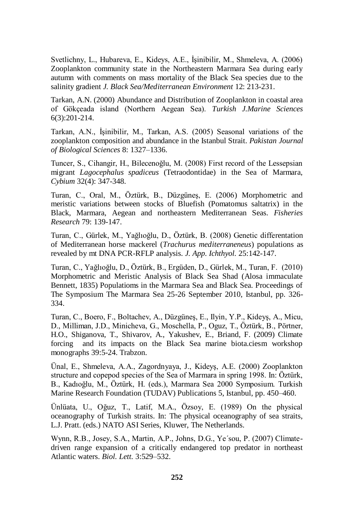Svetlichny, L., Hubareva, E., Kideys, A.E., İşinibilir, M., Shmeleva, A. (2006) Zooplankton community state in the Northeastern Marmara Sea during early autumn with comments on mass mortality of the Black Sea species due to the salinity gradient *J. Black Sea/Mediterranean Environment* 12: 213-231.

Tarkan, A.N. (2000) Abundance and Distribution of Zooplankton in coastal area of Gökçeada island (Northern Aegean Sea). *Turkish J.Marine Sciences* 6(3):201-214.

Tarkan, A.N., İşinibilir, M., Tarkan, A.S. (2005) Seasonal variations of the zooplankton composition and abundance in the Istanbul Strait. *Pakistan Journal of Biological Sciences* 8: 1327–1336.

Tuncer, S., Cihangir, H., Bilecenoğlu, M. (2008) First record of the Lessepsian migrant *Lagocephalus spadiceus* (Tetraodontidae) in the Sea of Marmara, *Cybium* 32(4): 347-348.

Turan, C., Oral, M., Öztürk, B., Düzgüneş, E. (2006) Morphometric and meristic variations between stocks of Bluefish (Pomatomus saltatrix) in the Black, Marmara, Aegean and northeastern Mediterranean Seas. *Fisheries Research* 79: 139-147.

Turan, C., Gürlek, M., Yağlıoğlu, D., Öztürk, B. (2008) Genetic differentation of Mediterranean horse mackerel (*Trachurus mediterraneneus*) populations as revealed by mt DNA PCR-RFLP analysis*. J. App. Ichthyol.* 25:142-147.

Turan, C., Yağlıoğlu, D., Öztürk, B., Ergüden, D., Gürlek, M., Turan, F. (2010) Morphometric and Meristic Analysis of Black Sea Shad (Alosa immaculate Bennett, 1835) Populatioms in the Marmara Sea and Black Sea. Proceedings of The Symposium The Marmara Sea 25-26 September 2010, Istanbul, pp. 326- 334.

Turan, C., Boero, F., Boltachev, A., Düzgüneş, E., Ilyin, Y.P., Kideyş, A., Micu, D., Milliman, J.D., Minicheva, G., Moschella, P., Oguz, T., Öztürk, B., Pörtner, H.O., Shiganova, T., Shivarov, A., Yakushev, E., Briand, F. (2009) Climate forcing and its impacts on the Black Sea marine biota.ciesm workshop monographs 39:5-24. Trabzon.

Ünal, E., Shmeleva, A.A., Zagordnyaya, J., Kideyş, A.E. (2000) Zooplankton structure and copepod species of the Sea of Marmara in spring 1998. In: Öztürk, B., Kadıoğlu, M., Öztürk, H. (eds.), Marmara Sea 2000 Symposium. Turkish Marine Research Foundation (TUDAV) Publications 5, Istanbul, pp. 450–460.

Ünlüata, U., Oğuz, T., Latif, M.A., Özsoy, E. (1989) On the physical oceanography of Turkish straits. In: The physical oceanography of sea straits, L.J. Pratt. (eds.) NATO ASI Series, Kluwer, The Netherlands.

Wynn, R.B., Josey, S.A., Martin, A.P., Johns, D.G., Ye´sou, P. (2007) Climatedriven range expansion of a critically endangered top predator in northeast Atlantic waters. *Biol. Lett.* 3:529–532.